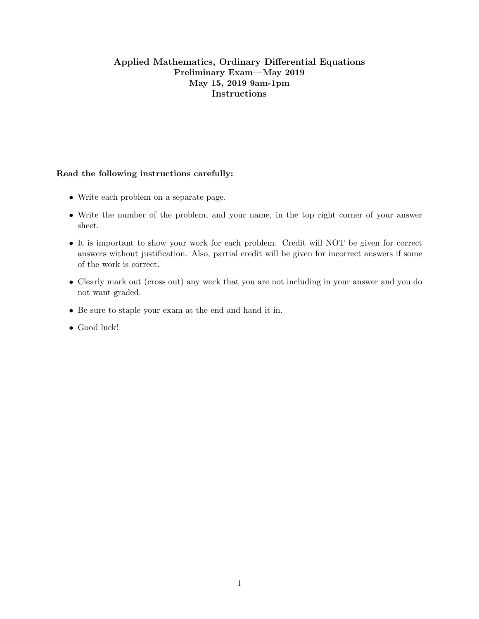## Applied Mathematics, Ordinary Differential Equations Preliminary Exam—May 2019 May 15, 2019 9am-1pm Instructions

## Read the following instructions carefully:

- Write each problem on a separate page.
- Write the number of the problem, and your name, in the top right corner of your answer sheet.
- It is important to show your work for each problem. Credit will NOT be given for correct answers without justification. Also, partial credit will be given for incorrect answers if some of the work is correct.
- Clearly mark out (cross out) any work that you are not including in your answer and you do not want graded.
- Be sure to staple your exam at the end and hand it in.
- Good luck!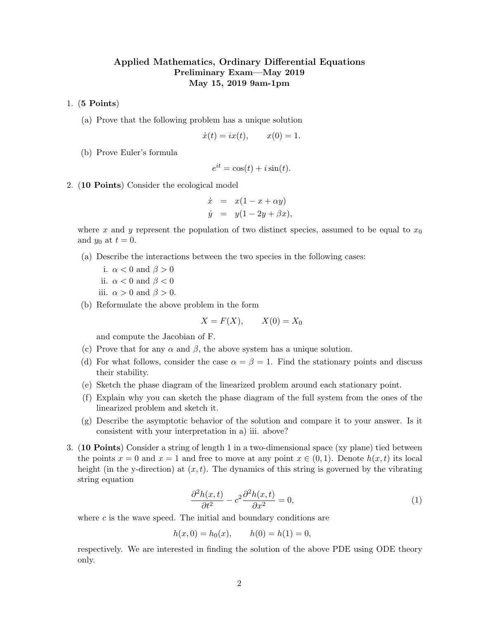## Applied Mathematics, Ordinary Differential Equations Preliminary Exam—May 2019 May 15, 2019 9am-1pm

1. (5 Points)

(a) Prove that the following problem has a unique solution

$$
\dot{x}(t) = ix(t), \qquad x(0) = 1.
$$

(b) Prove Euler's formula

$$
e^{it} = \cos(t) + i\sin(t).
$$

2. (10 Points) Consider the ecological model

$$
\dot{x} = x(1 - x + \alpha y)
$$
  
\n
$$
\dot{y} = y(1 - 2y + \beta x),
$$

where x and y represent the population of two distinct species, assumed to be equal to  $x_0$ and  $y_0$  at  $t = 0$ .

(a) Describe the interactions between the two species in the following cases:

i.  $\alpha < 0$  and  $\beta > 0$ 

- ii.  $\alpha < 0$  and  $\beta < 0$
- iii.  $\alpha > 0$  and  $\beta > 0$ .
- (b) Reformulate the above problem in the form

$$
X = F(X), \qquad X(0) = X_0
$$

and compute the Jacobian of F.

- (c) Prove that for any  $\alpha$  and  $\beta$ , the above system has a unique solution.
- (d) For what follows, consider the case  $\alpha = \beta = 1$ . Find the stationary points and discuss their stability.
- (e) Sketch the phase diagram of the linearized problem around each stationary point.
- (f) Explain why you can sketch the phase diagram of the full system from the ones of the linearized problem and sketch it.
- (g) Describe the asymptotic behavior of the solution and compare it to your answer. Is it consistent with your interpretation in a) iii. above?
- 3. (10 Points) Consider a string of length 1 in a two-dimensional space (xy plane) tied between the points  $x = 0$  and  $x = 1$  and free to move at any point  $x \in (0, 1)$ . Denote  $h(x, t)$  its local height (in the y-direction) at  $(x, t)$ . The dynamics of this string is governed by the vibrating string equation

$$
\frac{\partial^2 h(x,t)}{\partial t^2} - c^2 \frac{\partial^2 h(x,t)}{\partial x^2} = 0,\tag{1}
$$

where  $c$  is the wave speed. The initial and boundary conditions are

$$
h(x, 0) = h_0(x), \qquad h(0) = h(1) = 0,
$$

respectively. We are interested in finding the solution of the above PDE using ODE theory only.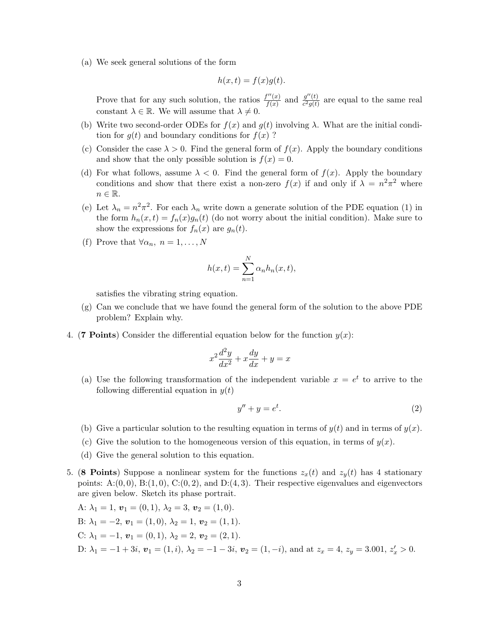(a) We seek general solutions of the form

$$
h(x,t) = f(x)g(t).
$$

Prove that for any such solution, the ratios  $\frac{f''(x)}{f(x)}$  $\frac{f''(x)}{f(x)}$  and  $\frac{g''(t)}{c^2g(t)}$  $rac{g''(t)}{c^2g(t)}$  are equal to the same real constant  $\lambda \in \mathbb{R}$ . We will assume that  $\lambda \neq 0$ .

- (b) Write two second-order ODEs for  $f(x)$  and  $g(t)$  involving  $\lambda$ . What are the initial condition for  $g(t)$  and boundary conditions for  $f(x)$ ?
- (c) Consider the case  $\lambda > 0$ . Find the general form of  $f(x)$ . Apply the boundary conditions and show that the only possible solution is  $f(x) = 0$ .
- (d) For what follows, assume  $\lambda < 0$ . Find the general form of  $f(x)$ . Apply the boundary conditions and show that there exist a non-zero  $f(x)$  if and only if  $\lambda = n^2 \pi^2$  where  $n \in \mathbb{R}$ .
- (e) Let  $\lambda_n = n^2 \pi^2$ . For each  $\lambda_n$  write down a generate solution of the PDE equation (1) in the form  $h_n(x,t) = f_n(x)g_n(t)$  (do not worry about the initial condition). Make sure to show the expressions for  $f_n(x)$  are  $g_n(t)$ .
- (f) Prove that  $\forall \alpha_n, n = 1, \ldots, N$

$$
h(x,t) = \sum_{n=1}^{N} \alpha_n h_n(x,t),
$$

satisfies the vibrating string equation.

- $(g)$  Can we conclude that we have found the general form of the solution to the above PDE problem? Explain why.
- 4. (7 Points) Consider the differential equation below for the function  $y(x)$ :

$$
x^2\frac{d^2y}{dx^2} + x\frac{dy}{dx} + y = x
$$

(a) Use the following transformation of the independent variable  $x = e^t$  to arrive to the following differential equation in  $y(t)$ 

$$
y'' + y = e^t. \tag{2}
$$

- (b) Give a particular solution to the resulting equation in terms of  $y(t)$  and in terms of  $y(x)$ .
- (c) Give the solution to the homogeneous version of this equation, in terms of  $y(x)$ .
- (d) Give the general solution to this equation.
- 5. (8 Points) Suppose a nonlinear system for the functions  $z_x(t)$  and  $z_y(t)$  has 4 stationary points: A: $(0, 0)$ , B: $(1, 0)$ , C: $(0, 2)$ , and D: $(4, 3)$ . Their respective eigenvalues and eigenvectors are given below. Sketch its phase portrait.

A: 
$$
\lambda_1 = 1
$$
,  $\mathbf{v}_1 = (0, 1)$ ,  $\lambda_2 = 3$ ,  $\mathbf{v}_2 = (1, 0)$ .  
\nB:  $\lambda_1 = -2$ ,  $\mathbf{v}_1 = (1, 0)$ ,  $\lambda_2 = 1$ ,  $\mathbf{v}_2 = (1, 1)$ .  
\nC:  $\lambda_1 = -1$ ,  $\mathbf{v}_1 = (0, 1)$ ,  $\lambda_2 = 2$ ,  $\mathbf{v}_2 = (2, 1)$ .  
\nD:  $\lambda_1 = -1 + 3i$ ,  $\mathbf{v}_1 = (1, i)$ ,  $\lambda_2 = -1 - 3i$ ,  $\mathbf{v}_2 = (1, -i)$ , and at  $z_x = 4$ ,  $z_y = 3.001$ ,  $z'_x > 0$ .